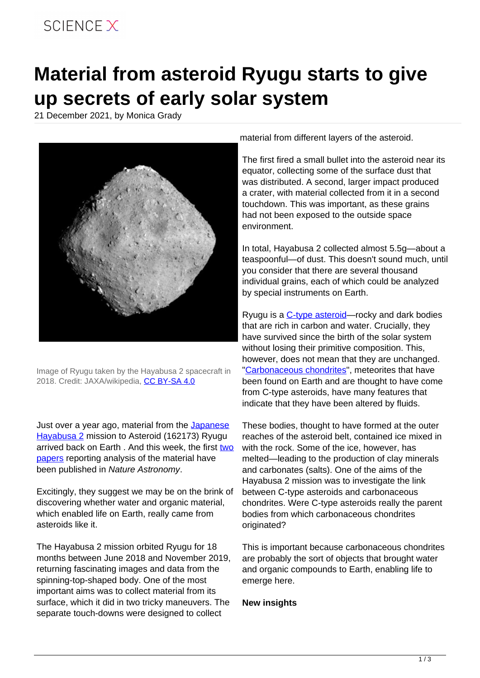## SCIFNCF X

## **Material from asteroid Ryugu starts to give up secrets of early solar system**

21 December 2021, by Monica Grady



Image of Ryugu taken by the Hayabusa 2 spacecraft in 2018. Credit: JAXA/wikipedia, [CC BY-SA 4.0](http://creativecommons.org/licenses/by-sa/4.0/)

Just over a year ago, material from the [Japanese](https://www.hayabusa2.jaxa.jp/en/) [Hayabusa 2](https://www.hayabusa2.jaxa.jp/en/) mission to Asteroid (162173) Ryugu arrived back on Earth . And this week, the first [two](https://www.nature.com/articles/s41550-021-01550-6) [papers](https://www.nature.com/articles/s41550-021-01549-z) reporting analysis of the material have been published in Nature Astronomy.

Excitingly, they suggest we may be on the brink of discovering whether water and organic material, which enabled life on Earth, really came from asteroids like it.

The Hayabusa 2 mission orbited Ryugu for 18 months between June 2018 and November 2019, returning fascinating images and data from the spinning-top-shaped body. One of the most important aims was to collect material from its surface, which it did in two tricky maneuvers. The separate touch-downs were designed to collect

material from different layers of the asteroid.

The first fired a small bullet into the asteroid near its equator, collecting some of the surface dust that was distributed. A second, larger impact produced a crater, with material collected from it in a second touchdown. This was important, as these grains had not been exposed to the outside space environment.

In total, Hayabusa 2 collected almost 5.5g—about a teaspoonful—of dust. This doesn't sound much, until you consider that there are several thousand individual grains, each of which could be analyzed by special instruments on Earth.

Ryugu is a [C-type asteroid](https://www.esa.int/Science_Exploration/Space_Science/Asteroids_Structure_and_composition_of_asteroids)—rocky and dark bodies that are rich in carbon and water. Crucially, they have survived since the birth of the solar system without losing their primitive composition. This, however, does not mean that they are unchanged. ["Carbonaceous chondrites"](http://www.psrd.hawaii.edu/CosmoSparks/July12/Earthwater-sources.html), meteorites that have been found on Earth and are thought to have come from C-type asteroids, have many features that indicate that they have been altered by fluids.

These bodies, thought to have formed at the outer reaches of the asteroid belt, contained ice mixed in with the rock. Some of the ice, however, has melted—leading to the production of clay minerals and carbonates (salts). One of the aims of the Hayabusa 2 mission was to investigate the link between C-type asteroids and carbonaceous chondrites. Were C-type asteroids really the parent bodies from which carbonaceous chondrites originated?

This is important because carbonaceous chondrites are probably the sort of objects that brought water and organic compounds to Earth, enabling life to emerge here.

## **New insights**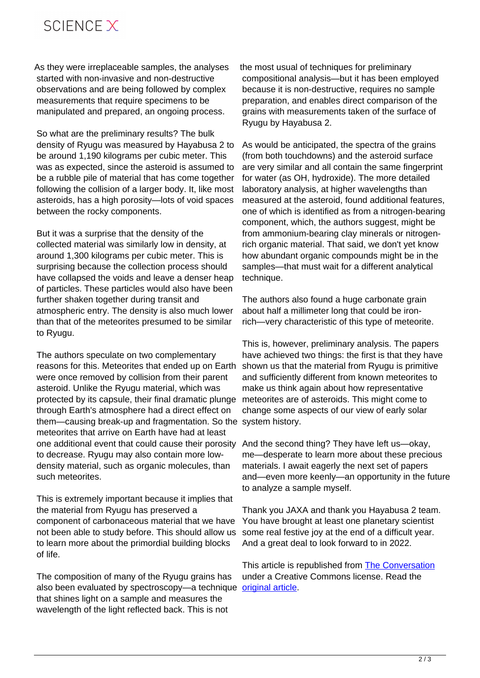As they were irreplaceable samples, the analyses started with non-invasive and non-destructive observations and are being followed by complex measurements that require specimens to be manipulated and prepared, an ongoing process.

So what are the preliminary results? The bulk density of Ryugu was measured by Hayabusa 2 to be around 1,190 kilograms per cubic meter. This was as expected, since the asteroid is assumed to be a rubble pile of material that has come together following the collision of a larger body. It, like most asteroids, has a high porosity—lots of void spaces between the rocky components.

But it was a surprise that the density of the collected material was similarly low in density, at around 1,300 kilograms per cubic meter. This is surprising because the collection process should have collapsed the voids and leave a denser heap of particles. These particles would also have been further shaken together during transit and atmospheric entry. The density is also much lower than that of the meteorites presumed to be similar to Ryugu.

The authors speculate on two complementary reasons for this. Meteorites that ended up on Earth were once removed by collision from their parent asteroid. Unlike the Ryugu material, which was protected by its capsule, their final dramatic plunge through Earth's atmosphere had a direct effect on them—causing break-up and fragmentation. So the system history. meteorites that arrive on Earth have had at least one additional event that could cause their porosity to decrease. Ryugu may also contain more lowdensity material, such as organic molecules, than such meteorites.

This is extremely important because it implies that the material from Ryugu has preserved a component of carbonaceous material that we have not been able to study before. This should allow us to learn more about the primordial building blocks of life.

The composition of many of the Ryugu grains has also been evaluated by spectroscopy—a technique [original article](https://theconversation.com/material-from-asteroid-ryugu-starts-to-give-up-secrets-of-early-solar-system-173884). that shines light on a sample and measures the wavelength of the light reflected back. This is not

the most usual of techniques for preliminary compositional analysis—but it has been employed because it is non-destructive, requires no sample preparation, and enables direct comparison of the grains with measurements taken of the surface of Ryugu by Hayabusa 2.

As would be anticipated, the spectra of the grains (from both touchdowns) and the asteroid surface are very similar and all contain the same fingerprint for water (as OH, hydroxide). The more detailed laboratory analysis, at higher wavelengths than measured at the asteroid, found additional features, one of which is identified as from a nitrogen-bearing component, which, the authors suggest, might be from ammonium-bearing clay minerals or nitrogenrich organic material. That said, we don't yet know how abundant organic compounds might be in the samples—that must wait for a different analytical technique.

The authors also found a huge carbonate grain about half a millimeter long that could be ironrich—very characteristic of this type of meteorite.

This is, however, preliminary analysis. The papers have achieved two things: the first is that they have shown us that the material from Ryugu is primitive and sufficiently different from known meteorites to make us think again about how representative meteorites are of asteroids. This might come to change some aspects of our view of early solar

And the second thing? They have left us—okay, me—desperate to learn more about these precious materials. I await eagerly the next set of papers and—even more keenly—an opportunity in the future to analyze a sample myself.

Thank you JAXA and thank you Hayabusa 2 team. You have brought at least one planetary scientist some real festive joy at the end of a difficult year. And a great deal to look forward to in 2022.

This article is republished from [The Conversation](https://theconversation.com) under a Creative Commons license. Read the